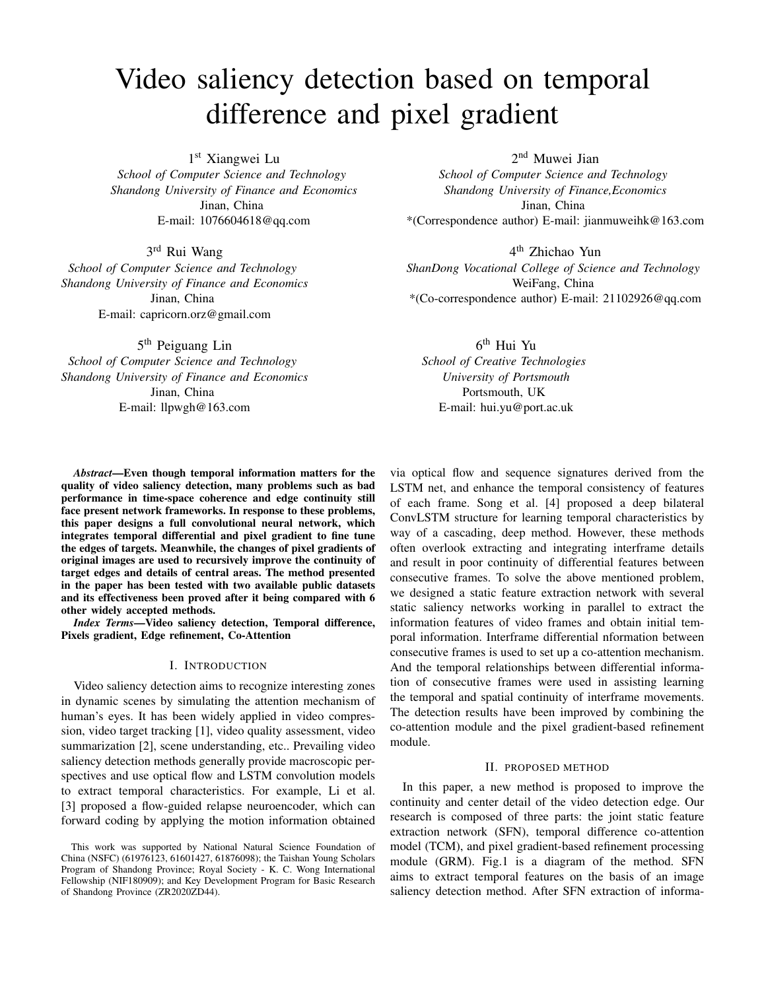# Video saliency detection based on temporal difference and pixel gradient

1 st Xiangwei Lu

*School of Computer Science and Technology Shandong University of Finance and Economics* Jinan, China E-mail: 1076604618@qq.com

3 rd Rui Wang

*School of Computer Science and Technology Shandong University of Finance and Economics* Jinan, China E-mail: capricorn.orz@gmail.com

5<sup>th</sup> Peiguang Lin

*School of Computer Science and Technology Shandong University of Finance and Economics* Jinan, China E-mail: llpwgh@163.com

2 nd Muwei Jian

*School of Computer Science and Technology Shandong University of Finance,Economics* Jinan, China \*(Correspondence author) E-mail: jianmuweihk@163.com

4 th Zhichao Yun *ShanDong Vocational College of Science and Technology* WeiFang, China

\*(Co-correspondence author) E-mail: 21102926@qq.com

6 th Hui Yu *School of Creative Technologies University of Portsmouth* Portsmouth, UK E-mail: hui.yu@port.ac.uk

*Abstract*—Even though temporal information matters for the quality of video saliency detection, many problems such as bad performance in time-space coherence and edge continuity still face present network frameworks. In response to these problems, this paper designs a full convolutional neural network, which integrates temporal differential and pixel gradient to fine tune the edges of targets. Meanwhile, the changes of pixel gradients of original images are used to recursively improve the continuity of target edges and details of central areas. The method presented in the paper has been tested with two available public datasets and its effectiveness been proved after it being compared with 6 other widely accepted methods.

*Index Terms*—Video saliency detection, Temporal difference, Pixels gradient, Edge refinement, Co-Attention

#### I. INTRODUCTION

Video saliency detection aims to recognize interesting zones in dynamic scenes by simulating the attention mechanism of human's eyes. It has been widely applied in video compression, video target tracking [1], video quality assessment, video summarization [2], scene understanding, etc.. Prevailing video saliency detection methods generally provide macroscopic perspectives and use optical flow and LSTM convolution models to extract temporal characteristics. For example, Li et al. [3] proposed a flow-guided relapse neuroencoder, which can forward coding by applying the motion information obtained via optical flow and sequence signatures derived from the LSTM net, and enhance the temporal consistency of features of each frame. Song et al. [4] proposed a deep bilateral ConvLSTM structure for learning temporal characteristics by way of a cascading, deep method. However, these methods often overlook extracting and integrating interframe details and result in poor continuity of differential features between consecutive frames. To solve the above mentioned problem, we designed a static feature extraction network with several static saliency networks working in parallel to extract the information features of video frames and obtain initial temporal information. Interframe differential nformation between consecutive frames is used to set up a co-attention mechanism. And the temporal relationships between differential information of consecutive frames were used in assisting learning the temporal and spatial continuity of interframe movements. The detection results have been improved by combining the co-attention module and the pixel gradient-based refinement module.

#### II. PROPOSED METHOD

In this paper, a new method is proposed to improve the continuity and center detail of the video detection edge. Our research is composed of three parts: the joint static feature extraction network (SFN), temporal difference co-attention model (TCM), and pixel gradient-based refinement processing module (GRM). Fig.1 is a diagram of the method. SFN aims to extract temporal features on the basis of an image saliency detection method. After SFN extraction of informa-

This work was supported by National Natural Science Foundation of China (NSFC) (61976123, 61601427, 61876098); the Taishan Young Scholars Program of Shandong Province; Royal Society - K. C. Wong International Fellowship (NIF180909); and Key Development Program for Basic Research of Shandong Province (ZR2020ZD44).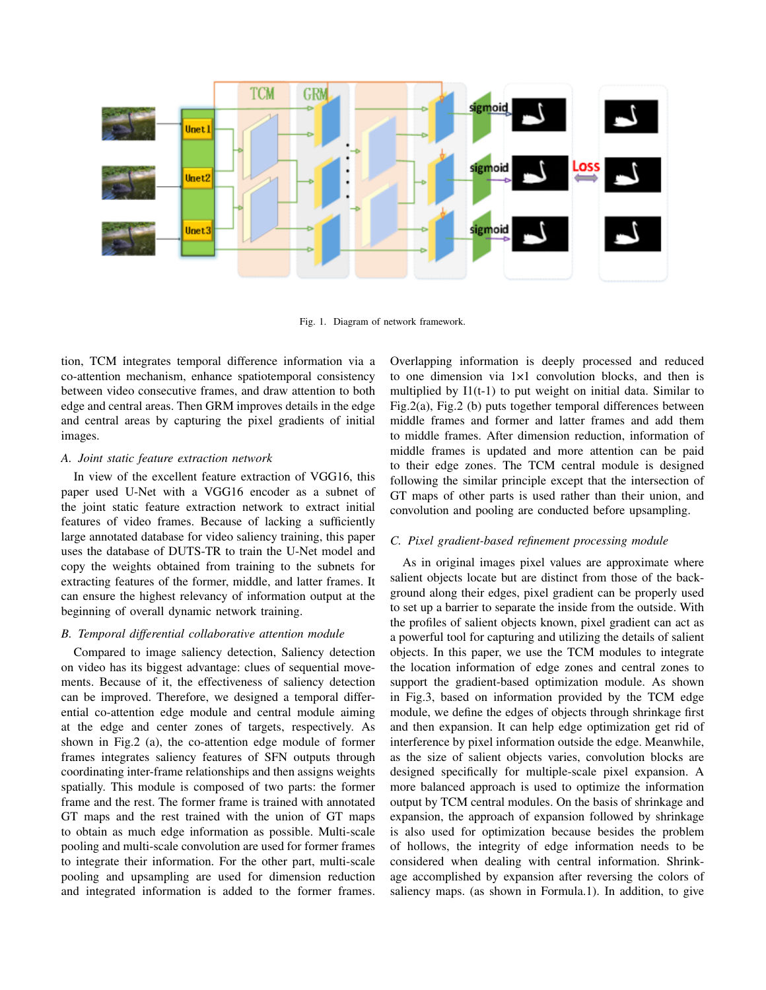

Fig. 1. Diagram of network framework.

tion, TCM integrates temporal difference information via a co-attention mechanism, enhance spatiotemporal consistency between video consecutive frames, and draw attention to both edge and central areas. Then GRM improves details in the edge and central areas by capturing the pixel gradients of initial images.

#### *A. Joint static feature extraction network*

In view of the excellent feature extraction of VGG16, this paper used U-Net with a VGG16 encoder as a subnet of the joint static feature extraction network to extract initial features of video frames. Because of lacking a sufficiently large annotated database for video saliency training, this paper uses the database of DUTS-TR to train the U-Net model and copy the weights obtained from training to the subnets for extracting features of the former, middle, and latter frames. It can ensure the highest relevancy of information output at the beginning of overall dynamic network training.

#### *B. Temporal differential collaborative attention module*

Compared to image saliency detection, Saliency detection on video has its biggest advantage: clues of sequential movements. Because of it, the effectiveness of saliency detection can be improved. Therefore, we designed a temporal differential co-attention edge module and central module aiming at the edge and center zones of targets, respectively. As shown in Fig.2 (a), the co-attention edge module of former frames integrates saliency features of SFN outputs through coordinating inter-frame relationships and then assigns weights spatially. This module is composed of two parts: the former frame and the rest. The former frame is trained with annotated GT maps and the rest trained with the union of GT maps to obtain as much edge information as possible. Multi-scale pooling and multi-scale convolution are used for former frames to integrate their information. For the other part, multi-scale pooling and upsampling are used for dimension reduction and integrated information is added to the former frames. Overlapping information is deeply processed and reduced to one dimension via 1×1 convolution blocks, and then is multiplied by I1(t-1) to put weight on initial data. Similar to Fig.2(a), Fig.2 (b) puts together temporal differences between middle frames and former and latter frames and add them to middle frames. After dimension reduction, information of middle frames is updated and more attention can be paid to their edge zones. The TCM central module is designed following the similar principle except that the intersection of GT maps of other parts is used rather than their union, and convolution and pooling are conducted before upsampling.

#### *C. Pixel gradient-based refinement processing module*

As in original images pixel values are approximate where salient objects locate but are distinct from those of the background along their edges, pixel gradient can be properly used to set up a barrier to separate the inside from the outside. With the profiles of salient objects known, pixel gradient can act as a powerful tool for capturing and utilizing the details of salient objects. In this paper, we use the TCM modules to integrate the location information of edge zones and central zones to support the gradient-based optimization module. As shown in Fig.3, based on information provided by the TCM edge module, we define the edges of objects through shrinkage first and then expansion. It can help edge optimization get rid of interference by pixel information outside the edge. Meanwhile, as the size of salient objects varies, convolution blocks are designed specifically for multiple-scale pixel expansion. A more balanced approach is used to optimize the information output by TCM central modules. On the basis of shrinkage and expansion, the approach of expansion followed by shrinkage is also used for optimization because besides the problem of hollows, the integrity of edge information needs to be considered when dealing with central information. Shrinkage accomplished by expansion after reversing the colors of saliency maps. (as shown in Formula.1). In addition, to give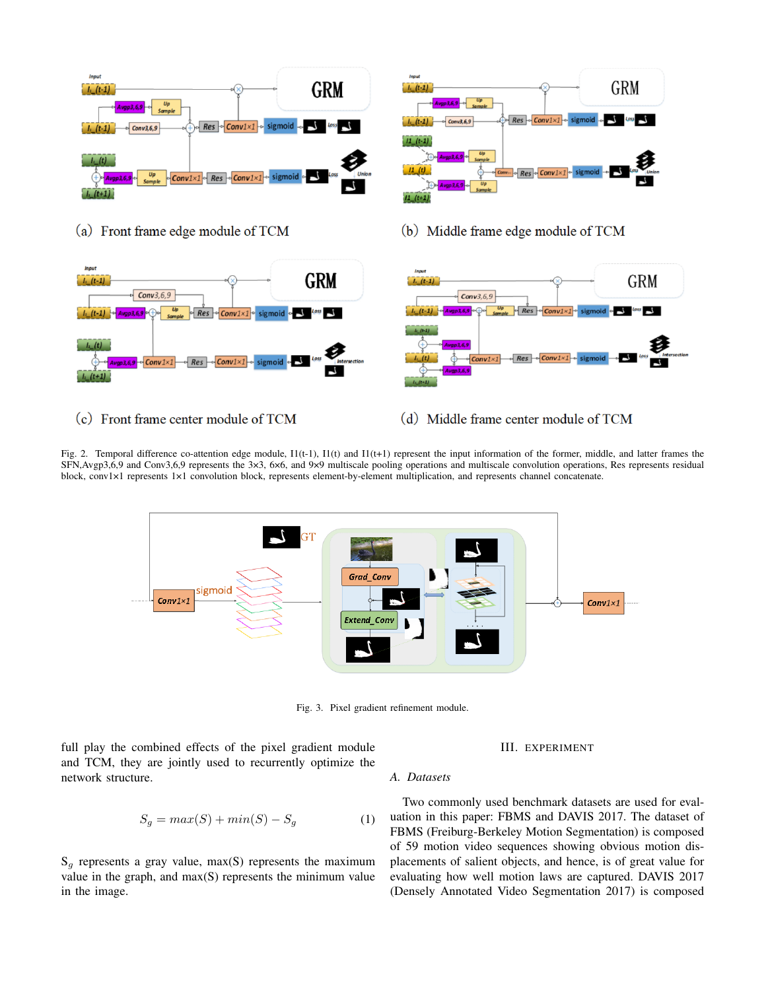

(a) Front frame edge module of TCM



(c) Front frame center module of TCM



(b) Middle frame edge module of TCM



(d) Middle frame center module of TCM

Fig. 2. Temporal difference co-attention edge module, I1(t-1), I1(t) and I1(t+1) represent the input information of the former, middle, and latter frames the SFN,Avgp3,6,9 and Conv3,6,9 represents the 3×3, 6×6, and 9×9 multiscale pooling operations and multiscale convolution operations, Res represents residual block, conv1×1 represents 1×1 convolution block, represents element-by-element multiplication, and represents channel concatenate.



Fig. 3. Pixel gradient refinement module.

full play the combined effects of the pixel gradient module and TCM, they are jointly used to recurrently optimize the network structure.

# III. EXPERIMENT

## *A. Datasets*

$$
S_g = max(S) + min(S) - S_g \tag{1}
$$

 $S_q$  represents a gray value, max(S) represents the maximum value in the graph, and max(S) represents the minimum value in the image.

Two commonly used benchmark datasets are used for evaluation in this paper: FBMS and DAVIS 2017. The dataset of FBMS (Freiburg-Berkeley Motion Segmentation) is composed of 59 motion video sequences showing obvious motion displacements of salient objects, and hence, is of great value for evaluating how well motion laws are captured. DAVIS 2017 (Densely Annotated Video Segmentation 2017) is composed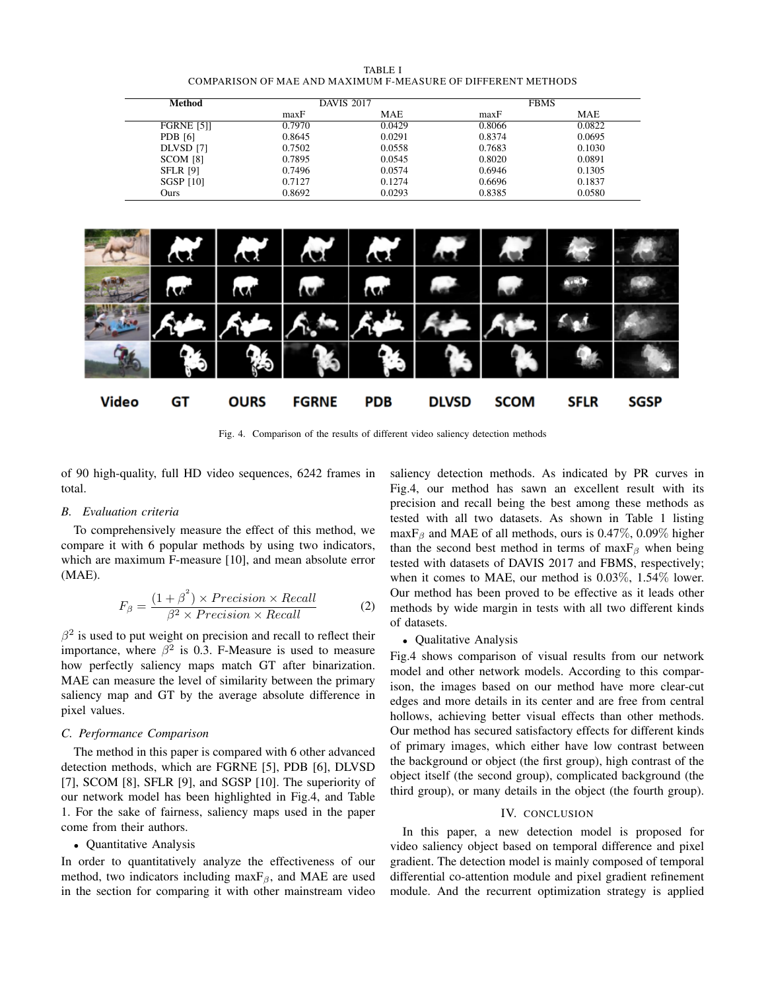| TABLE I                                                      |  |
|--------------------------------------------------------------|--|
| COMPARISON OF MAE AND MAXIMUM F-MEASURE OF DIFFERENT METHODS |  |

| Method            | <b>DAVIS 2017</b> |        |        | <b>FBMS</b> |
|-------------------|-------------------|--------|--------|-------------|
|                   | maxF              | MAE    | maxF   | MAE         |
| <b>FGRNE [5]]</b> | 0.7970            | 0.0429 | 0.8066 | 0.0822      |
| <b>PDB</b> [6]    | 0.8645            | 0.0291 | 0.8374 | 0.0695      |
| DLVSD [7]         | 0.7502            | 0.0558 | 0.7683 | 0.1030      |
| SCOM [8]          | 0.7895            | 0.0545 | 0.8020 | 0.0891      |
| <b>SFLR [9]</b>   | 0.7496            | 0.0574 | 0.6946 | 0.1305      |
| <b>SGSP [10]</b>  | 0.7127            | 0.1274 | 0.6696 | 0.1837      |
| Ours              | 0.8692            | 0.0293 | 0.8385 | 0.0580      |



Fig. 4. Comparison of the results of different video saliency detection methods

of 90 high-quality, full HD video sequences, 6242 frames in total.

## *B. Evaluation criteria*

To comprehensively measure the effect of this method, we compare it with 6 popular methods by using two indicators, which are maximum F-measure [10], and mean absolute error (MAE).

$$
F_{\beta} = \frac{(1+\beta^2) \times Precision \times Recall}{\beta^2 \times Precision \times Recall}
$$
 (2)

 $\beta^2$  is used to put weight on precision and recall to reflect their importance, where  $\beta^2$  is 0.3. F-Measure is used to measure how perfectly saliency maps match GT after binarization. MAE can measure the level of similarity between the primary saliency map and GT by the average absolute difference in pixel values.

## *C. Performance Comparison*

The method in this paper is compared with 6 other advanced detection methods, which are FGRNE [5], PDB [6], DLVSD [7], SCOM [8], SFLR [9], and SGSP [10]. The superiority of our network model has been highlighted in Fig.4, and Table 1. For the sake of fairness, saliency maps used in the paper come from their authors.

# • Quantitative Analysis

In order to quantitatively analyze the effectiveness of our method, two indicators including max $F_\beta$ , and MAE are used in the section for comparing it with other mainstream video saliency detection methods. As indicated by PR curves in Fig.4, our method has sawn an excellent result with its precision and recall being the best among these methods as tested with all two datasets. As shown in Table 1 listing maxF<sub>β</sub> and MAE of all methods, ours is 0.47%, 0.09% higher than the second best method in terms of max $F_\beta$  when being tested with datasets of DAVIS 2017 and FBMS, respectively; when it comes to MAE, our method is 0.03%, 1.54% lower. Our method has been proved to be effective as it leads other methods by wide margin in tests with all two different kinds of datasets.

## • Qualitative Analysis

Fig.4 shows comparison of visual results from our network model and other network models. According to this comparison, the images based on our method have more clear-cut edges and more details in its center and are free from central hollows, achieving better visual effects than other methods. Our method has secured satisfactory effects for different kinds of primary images, which either have low contrast between the background or object (the first group), high contrast of the object itself (the second group), complicated background (the third group), or many details in the object (the fourth group).

#### IV. CONCLUSION

In this paper, a new detection model is proposed for video saliency object based on temporal difference and pixel gradient. The detection model is mainly composed of temporal differential co-attention module and pixel gradient refinement module. And the recurrent optimization strategy is applied